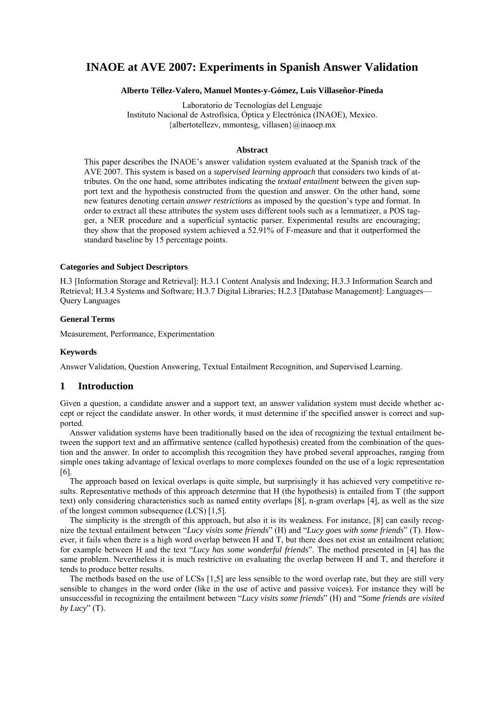# **INAOE at AVE 2007: Experiments in Spanish Answer Validation**

#### **Alberto Téllez-Valero, Manuel Montes-y-Gómez, Luis Villaseñor-Pineda**

Laboratorio de Tecnologías del Lenguaje Instituto Nacional de Astrofísica, Óptica y Electrónica (INAOE), Mexico. {albertotellezv, mmontesg, villasen}@inaoep.mx

#### **Abstract**

This paper describes the INAOE's answer validation system evaluated at the Spanish track of the AVE 2007. This system is based on a *supervised learning approach* that considers two kinds of attributes. On the one hand, some attributes indicating the *textual entailment* between the given support text and the hypothesis constructed from the question and answer. On the other hand, some new features denoting certain *answer restrictions* as imposed by the question's type and format. In order to extract all these attributes the system uses different tools such as a lemmatizer, a POS tagger, a NER procedure and a superficial syntactic parser. Experimental results are encouraging; they show that the proposed system achieved a 52.91% of F-measure and that it outperformed the standard baseline by 15 percentage points.

### **Categories and Subject Descriptors**

H.3 [Information Storage and Retrieval]: H.3.1 Content Analysis and Indexing; H.3.3 Information Search and Retrieval; H.3.4 Systems and Software; H.3.7 Digital Libraries; H.2.3 [Database Management]: Languages— Query Languages

## **General Terms**

Measurement, Performance, Experimentation

#### **Keywords**

Answer Validation, Question Answering, Textual Entailment Recognition, and Supervised Learning.

# **1 Introduction**

Given a question, a candidate answer and a support text, an answer validation system must decide whether accept or reject the candidate answer. In other words, it must determine if the specified answer is correct and supported.

Answer validation systems have been traditionally based on the idea of recognizing the textual entailment between the support text and an affirmative sentence (called hypothesis) created from the combination of the question and the answer. In order to accomplish this recognition they have probed several approaches, ranging from simple ones taking advantage of lexical overlaps to more complexes founded on the use of a logic representation [6].

The approach based on lexical overlaps is quite simple, but surprisingly it has achieved very competitive results. Representative methods of this approach determine that H (the hypothesis) is entailed from T (the support text) only considering characteristics such as named entity overlaps [8], n-gram overlaps [4], as well as the size of the longest common subsequence (LCS) [1,5].

The simplicity is the strength of this approach, but also it is its weakness. For instance, [8] can easily recognize the textual entailment between "*Lucy visits some friends*" (H) and "*Lucy goes with some friends*" (T). However, it fails when there is a high word overlap between H and T, but there does not exist an entailment relation; for example between H and the text "*Lucy has some wonderful friends*". The method presented in [4] has the same problem. Nevertheless it is much restrictive on evaluating the overlap between H and T, and therefore it tends to produce better results.

The methods based on the use of LCSs [1,5] are less sensible to the word overlap rate, but they are still very sensible to changes in the word order (like in the use of active and passive voices). For instance they will be unsuccessful in recognizing the entailment between "*Lucy visits some friends*" (H) and "*Some friends are visited by Lucy*" (T).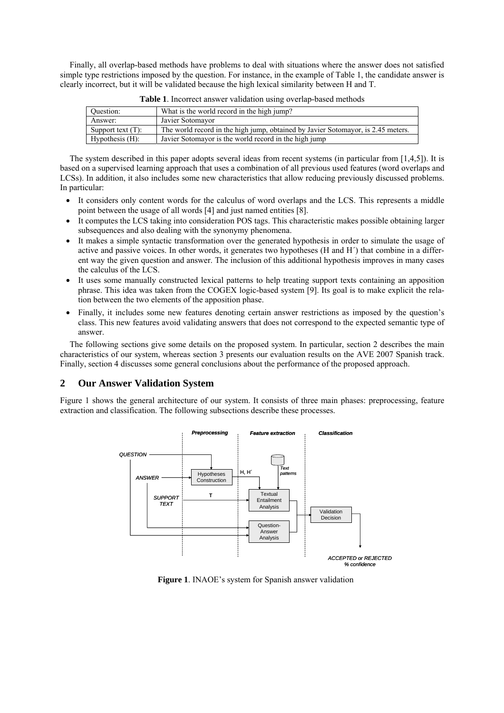Finally, all overlap-based methods have problems to deal with situations where the answer does not satisfied simple type restrictions imposed by the question. For instance, in the example of Table 1, the candidate answer is clearly incorrect, but it will be validated because the high lexical similarity between H and T.

| Question:            | What is the world record in the high jump?                                       |
|----------------------|----------------------------------------------------------------------------------|
| Answer:              | Javier Sotomayor                                                                 |
| Support text $(T)$ : | The world record in the high jump, obtained by Javier Sotomayor, is 2.45 meters. |
| Hypothesis $(H)$ :   | Javier Sotomayor is the world record in the high jump                            |

**Table 1**. Incorrect answer validation using overlap-based methods

The system described in this paper adopts several ideas from recent systems (in particular from [1,4,5]). It is based on a supervised learning approach that uses a combination of all previous used features (word overlaps and LCSs). In addition, it also includes some new characteristics that allow reducing previously discussed problems. In particular:

- It considers only content words for the calculus of word overlaps and the LCS. This represents a middle point between the usage of all words [4] and just named entities [8].
- It computes the LCS taking into consideration POS tags. This characteristic makes possible obtaining larger subsequences and also dealing with the synonymy phenomena.
- It makes a simple syntactic transformation over the generated hypothesis in order to simulate the usage of active and passive voices. In other words, it generates two hypotheses (H and H´) that combine in a different way the given question and answer. The inclusion of this additional hypothesis improves in many cases the calculus of the LCS.
- It uses some manually constructed lexical patterns to help treating support texts containing an apposition phrase. This idea was taken from the COGEX logic-based system [9]. Its goal is to make explicit the relation between the two elements of the apposition phase.
- Finally, it includes some new features denoting certain answer restrictions as imposed by the question's class. This new features avoid validating answers that does not correspond to the expected semantic type of answer.

The following sections give some details on the proposed system. In particular, section 2 describes the main characteristics of our system, whereas section 3 presents our evaluation results on the AVE 2007 Spanish track. Finally, section 4 discusses some general conclusions about the performance of the proposed approach.

# **2 Our Answer Validation System**

Figure 1 shows the general architecture of our system. It consists of three main phases: preprocessing, feature extraction and classification. The following subsections describe these processes.



**Figure 1**. INAOE's system for Spanish answer validation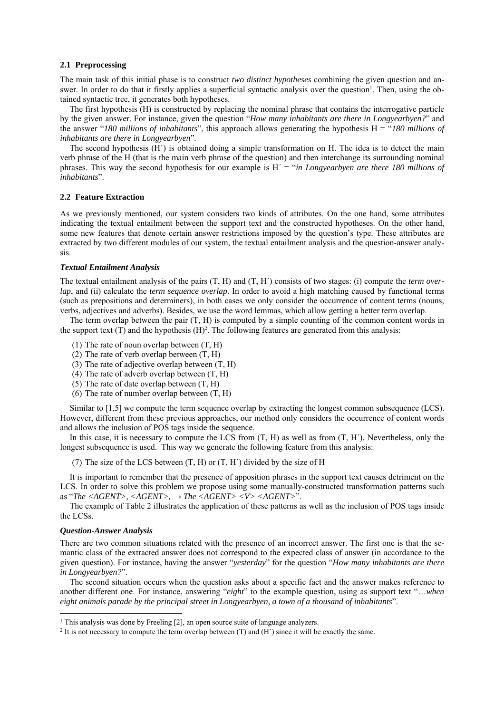#### **2.1 Preprocessing**

The main task of this initial phase is to construct *two distinct hypotheses* combining the given question and answer. In order to do that it firstly applies a superficial syntactic analysis over the question<sup>1</sup>. Then, using the obtained syntactic tree, it generates both hypotheses.

The first hypothesis (H) is constructed by replacing the nominal phrase that contains the interrogative particle by the given answer. For instance, given the question "*How many inhabitants are there in Longyearbyen?*" and the answer "*180 millions of inhabitants*", this approach allows generating the hypothesis H = "*180 millions of inhabitants are there in Longyearbyen*".

The second hypothesis (H´) is obtained doing a simple transformation on H. The idea is to detect the main verb phrase of the H (that is the main verb phrase of the question) and then interchange its surrounding nominal phrases. This way the second hypothesis for our example is H´ = "*in Longyearbyen are there 180 millions of inhabitants*".

#### **2.2 Feature Extraction**

As we previously mentioned, our system considers two kinds of attributes. On the one hand, some attributes indicating the textual entailment between the support text and the constructed hypotheses. On the other hand, some new features that denote certain answer restrictions imposed by the question's type. These attributes are extracted by two different modules of our system, the textual entailment analysis and the question-answer analysis.

#### *Textual Entailment Analysis*

The textual entailment analysis of the pairs (T, H) and (T, H´) consists of two stages: (i) compute the *term overlap*, and (ii) calculate the *term sequence overlap*. In order to avoid a high matching caused by functional terms (such as prepositions and determiners), in both cases we only consider the occurrence of content terms (nouns, verbs, adjectives and adverbs). Besides, we use the word lemmas, which allow getting a better term overlap.

The term overlap between the pair (T, H) is computed by a simple counting of the common content words in the support text  $(T)$  and the hypothesis  $(H)^2$ . The following features are generated from this analysis:

- (1) The rate of noun overlap between (T, H)
- (2) The rate of verb overlap between (T, H)
- (3) The rate of adjective overlap between (T, H)
- (4) The rate of adverb overlap between (T, H)
- (5) The rate of date overlap between  $(T, H)$
- $(6)$  The rate of number overlap between  $(T, H)$

Similar to [1,5] we compute the term sequence overlap by extracting the longest common subsequence (LCS). However, different from these previous approaches, our method only considers the occurrence of content words and allows the inclusion of POS tags inside the sequence.

In this case, it is necessary to compute the LCS from  $(T, H)$  as well as from  $(T, H')$ . Nevertheless, only the longest subsequence is used. This way we generate the following feature from this analysis:

(7) The size of the LCS between  $(T, H)$  or  $(T, H')$  divided by the size of H

It is important to remember that the presence of apposition phrases in the support text causes detriment on the LCS. In order to solve this problem we propose using some manually-constructed transformation patterns such as "*The <AGENT>, <AGENT>,* → *The <AGENT> <V> <AGENT>*".

The example of Table 2 illustrates the application of these patterns as well as the inclusion of POS tags inside the LCSs.

#### *Question-Answer Analysis*

 $\overline{\phantom{a}}$ 

There are two common situations related with the presence of an incorrect answer. The first one is that the semantic class of the extracted answer does not correspond to the expected class of answer (in accordance to the given question). For instance, having the answer "*yesterday*" for the question "*How many inhabitants are there in Longyearbyen?*".

The second situation occurs when the question asks about a specific fact and the answer makes reference to another different one. For instance, answering "*eight*" to the example question, using as support text "…*when eight animals parade by the principal street in Longyearbyen, a town of a thousand of inhabitants*".

<span id="page-2-1"></span><span id="page-2-0"></span>

<sup>&</sup>lt;sup>1</sup> This analysis was done by Freeling [2], an open source suite of language analyzers. <sup>2</sup> It is not necessary to compute the term overlap between (T) and (H<sup>'</sup>) since it will be exactly the same.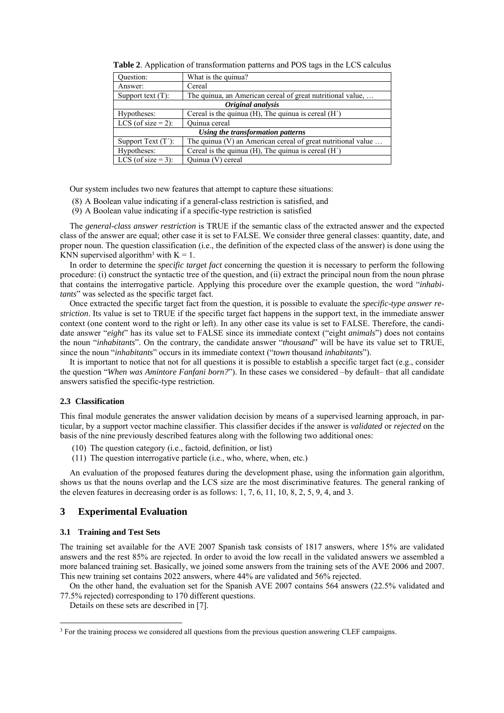| Ouestion:                         | What is the quinua?                                            |  |  |  |  |
|-----------------------------------|----------------------------------------------------------------|--|--|--|--|
| Answer:                           | Cereal                                                         |  |  |  |  |
| Support text $(T)$ :              | The quinua, an American cereal of great nutritional value,     |  |  |  |  |
| Original analysis                 |                                                                |  |  |  |  |
| Hypotheses:                       | Cereal is the quinua (H), The quinua is cereal $(H')$          |  |  |  |  |
| LCS (of size $= 2$ ):             | Quinua cereal                                                  |  |  |  |  |
| Using the transformation patterns |                                                                |  |  |  |  |
| Support Text $(T')$ :             | The quinua $(V)$ an American cereal of great nutritional value |  |  |  |  |
| Hypotheses:                       | Cereal is the quinua (H), The quinua is cereal (H')            |  |  |  |  |
| LCS (of size $=$ 3):              | Quinua (V) cereal                                              |  |  |  |  |

**Table 2**. Application of transformation patterns and POS tags in the LCS calculus

Our system includes two new features that attempt to capture these situations:

- (8) A Boolean value indicating if a general-class restriction is satisfied, and
- (9) A Boolean value indicating if a specific-type restriction is satisfied

The *general-class answer restriction* is TRUE if the semantic class of the extracted answer and the expected class of the answer are equal; other case it is set to FALSE. We consider three general classes: quantity, date, and proper noun. The question classification (i.e., the definition of the expected class of the answer) is done using the KNN supervised algorithm<sup>3</sup> [w](#page-3-0)ith  $K = 1$ .

In order to determine the *specific target fact* concerning the question it is necessary to perform the following procedure: (i) construct the syntactic tree of the question, and (ii) extract the principal noun from the noun phrase that contains the interrogative particle. Applying this procedure over the example question, the word "*inhabitants*" was selected as the specific target fact.

Once extracted the specific target fact from the question, it is possible to evaluate the *specific-type answer restriction*. Its value is set to TRUE if the specific target fact happens in the support text, in the immediate answer context (one content word to the right or left). In any other case its value is set to FALSE. Therefore, the candidate answer "*eight*" has its value set to FALSE since its immediate context ("eight *animals*") does not contains the noun "*inhabitants*". On the contrary, the candidate answer "*thousand*" will be have its value set to TRUE, since the noun "*inhabitants*" occurs in its immediate context ("*town* thousand *inhabitants*").

It is important to notice that not for all questions it is possible to establish a specific target fact (e.g., consider the question "*When was Amintore Fanfani born?*"). In these cases we considered –by default– that all candidate answers satisfied the specific-type restriction.

#### **2.3 Classification**

This final module generates the answer validation decision by means of a supervised learning approach, in particular, by a support vector machine classifier. This classifier decides if the answer is *validated* or *rejected* on the basis of the nine previously described features along with the following two additional ones:

- (10) The question category (i.e., factoid, definition, or list)
- (11) The question interrogative particle (i.e., who, where, when, etc.)

An evaluation of the proposed features during the development phase, using the information gain algorithm, shows us that the nouns overlap and the LCS size are the most discriminative features. The general ranking of the eleven features in decreasing order is as follows: 1, 7, 6, 11, 10, 8, 2, 5, 9, 4, and 3.

# **3 Experimental Evaluation**

#### **3.1 Training and Test Sets**

 $\overline{a}$ 

The training set available for the AVE 2007 Spanish task consists of 1817 answers, where 15% are validated answers and the rest 85% are rejected. In order to avoid the low recall in the validated answers we assembled a more balanced training set. Basically, we joined some answers from the training sets of the AVE 2006 and 2007. This new training set contains 2022 answers, where 44% are validated and 56% rejected.

On the other hand, the evaluation set for the Spanish AVE 2007 contains 564 answers (22.5% validated and 77.5% rejected) corresponding to 170 different questions.

Details on these sets are described in [7].

<span id="page-3-0"></span><sup>&</sup>lt;sup>3</sup> For the training process we considered all questions from the previous question answering CLEF campaigns.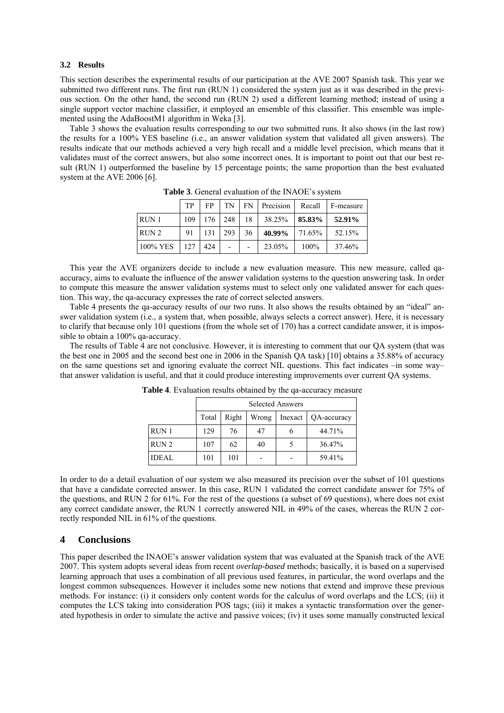# **3.2 Results**

This section describes the experimental results of our participation at the AVE 2007 Spanish task. This year we submitted two different runs. The first run (RUN 1) considered the system just as it was described in the previous section. On the other hand, the second run (RUN 2) used a different learning method; instead of using a single support vector machine classifier, it employed an ensemble of this classifier. This ensemble was implemented using the AdaBoostM1 algorithm in Weka [3].

Table 3 shows the evaluation results corresponding to our two submitted runs. It also shows (in the last row) the results for a 100% YES baseline (i.e., an answer validation system that validated all given answers). The results indicate that our methods achieved a very high recall and a middle level precision, which means that it validates must of the correct answers, but also some incorrect ones. It is important to point out that our best result (RUN 1) outperformed the baseline by 15 percentage points; the same proportion than the best evaluated system at the AVE 2006 [6].

|                  | <b>TP</b>        | FP -              |     |    |                        |         | TN   FN   Precision   Recall   F-measure |
|------------------|------------------|-------------------|-----|----|------------------------|---------|------------------------------------------|
| RUN <sub>1</sub> |                  | $109$   176   248 |     |    | $18$   38.25%   85.83% |         | 52.91%                                   |
| RUN <sub>2</sub> | $91 \quad$       | 131               | 293 | 36 | 40.99% 71.65%          |         | 52.15%                                   |
| 100% YES         | 127 <sup>1</sup> | 424               |     |    | 23.05%                 | $100\%$ | 37.46%                                   |

**Table 3**. General evaluation of the INAOE's system

This year the AVE organizers decide to include a new evaluation measure. This new measure, called qaaccuracy, aims to evaluate the influence of the answer validation systems to the question answering task. In order to compute this measure the answer validation systems must to select only one validated answer for each question. This way, the qa-accuracy expresses the rate of correct selected answers.

Table 4 presents the qa-accuracy results of our two runs. It also shows the results obtained by an "ideal" answer validation system (i.e., a system that, when possible, always selects a correct answer). Here, it is necessary to clarify that because only 101 questions (from the whole set of 170) has a correct candidate answer, it is impossible to obtain a 100% qa-accuracy.

The results of Table 4 are not conclusive. However, it is interesting to comment that our QA system (that was the best one in 2005 and the second best one in 2006 in the Spanish QA task) [10] obtains a 35.88% of accuracy on the same questions set and ignoring evaluate the correct NIL questions. This fact indicates –in some way– that answer validation is useful, and that it could produce interesting improvements over current QA systems.

|                  | <b>Selected Answers</b> |       |       |         |             |  |  |  |
|------------------|-------------------------|-------|-------|---------|-------------|--|--|--|
|                  | Total                   | Right | Wrong | Inexact | QA-accuracy |  |  |  |
| RUN <sub>1</sub> | 129                     | 76    | 47    |         | 44.71%      |  |  |  |
| RUN <sub>2</sub> | 107                     | 62    | 40    |         | 36.47%      |  |  |  |
| <b>IDEAL</b>     | 101                     | 101   |       |         | 59.41%      |  |  |  |

**Table 4**. Evaluation results obtained by the qa-accuracy measure

In order to do a detail evaluation of our system we also measured its precision over the subset of 101 questions that have a candidate corrected answer. In this case, RUN 1 validated the correct candidate answer for 75% of the questions, and RUN 2 for 61%. For the rest of the questions (a subset of 69 questions), where does not exist any correct candidate answer, the RUN 1 correctly answered NIL in 49% of the cases, whereas the RUN 2 correctly responded NIL in 61% of the questions.

# **4 Conclusions**

This paper described the INAOE's answer validation system that was evaluated at the Spanish track of the AVE 2007. This system adopts several ideas from recent *overlap-based* methods; basically, it is based on a supervised learning approach that uses a combination of all previous used features, in particular, the word overlaps and the longest common subsequences. However it includes some new notions that extend and improve these previous methods. For instance: (i) it considers only content words for the calculus of word overlaps and the LCS; (ii) it computes the LCS taking into consideration POS tags; (iii) it makes a syntactic transformation over the generated hypothesis in order to simulate the active and passive voices; (iv) it uses some manually constructed lexical